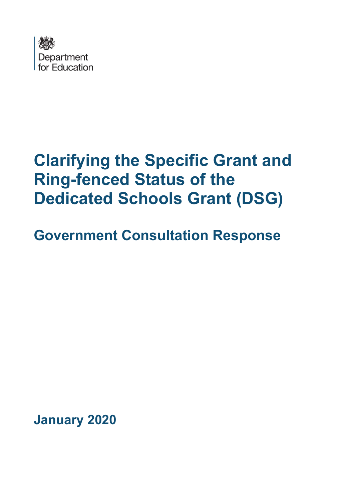

# **Clarifying the Specific Grant and Ring-fenced Status of the Dedicated Schools Grant (DSG)**

# **Government Consultation Response**

**January 2020**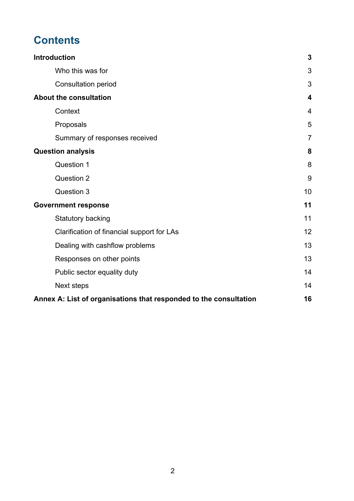## **Contents**

| <b>Introduction</b>                                               | $\mathbf{3}$            |
|-------------------------------------------------------------------|-------------------------|
| Who this was for                                                  | 3                       |
| <b>Consultation period</b>                                        | 3                       |
| <b>About the consultation</b>                                     | $\overline{\mathbf{4}}$ |
| Context                                                           | $\overline{4}$          |
| Proposals                                                         | 5                       |
| Summary of responses received                                     | $\overline{7}$          |
| <b>Question analysis</b>                                          | 8                       |
| Question 1                                                        | 8                       |
| Question 2                                                        | 9                       |
| Question 3                                                        | 10                      |
| <b>Government response</b>                                        | 11                      |
| Statutory backing                                                 | 11                      |
| Clarification of financial support for LAs                        | 12                      |
| Dealing with cashflow problems                                    | 13                      |
| Responses on other points                                         | 13                      |
| Public sector equality duty                                       | 14                      |
| Next steps                                                        | 14                      |
| Annex A: List of organisations that responded to the consultation | 16                      |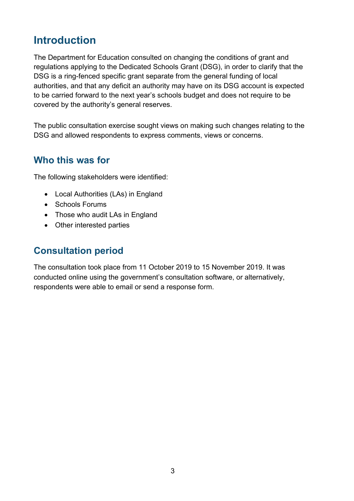### <span id="page-2-0"></span>**Introduction**

The Department for Education consulted on changing the conditions of grant and regulations applying to the Dedicated Schools Grant (DSG), in order to clarify that the DSG is a ring-fenced specific grant separate from the general funding of local authorities, and that any deficit an authority may have on its DSG account is expected to be carried forward to the next year's schools budget and does not require to be covered by the authority's general reserves.

The public consultation exercise sought views on making such changes relating to the DSG and allowed respondents to express comments, views or concerns.

#### <span id="page-2-1"></span>**Who this was for**

The following stakeholders were identified:

- Local Authorities (LAs) in England
- Schools Forums
- Those who audit LAs in England
- Other interested parties

#### <span id="page-2-2"></span>**Consultation period**

The consultation took place from 11 October 2019 to 15 November 2019. It was conducted online using the government's consultation software, or alternatively, respondents were able to email or send a response form.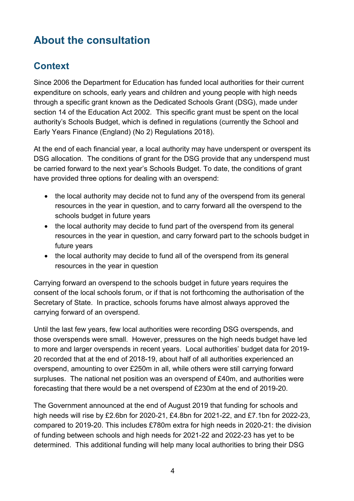## <span id="page-3-0"></span>**About the consultation**

### <span id="page-3-1"></span>**Context**

Since 2006 the Department for Education has funded local authorities for their current expenditure on schools, early years and children and young people with high needs through a specific grant known as the Dedicated Schools Grant (DSG), made under section 14 of the Education Act 2002. This specific grant must be spent on the local authority's Schools Budget, which is defined in regulations (currently the School and Early Years Finance (England) (No 2) Regulations 2018).

At the end of each financial year, a local authority may have underspent or overspent its DSG allocation. The conditions of grant for the DSG provide that any underspend must be carried forward to the next year's Schools Budget. To date, the conditions of grant have provided three options for dealing with an overspend:

- the local authority may decide not to fund any of the overspend from its general resources in the year in question, and to carry forward all the overspend to the schools budget in future years
- the local authority may decide to fund part of the overspend from its general resources in the year in question, and carry forward part to the schools budget in future years
- the local authority may decide to fund all of the overspend from its general resources in the year in question

Carrying forward an overspend to the schools budget in future years requires the consent of the local schools forum, or if that is not forthcoming the authorisation of the Secretary of State. In practice, schools forums have almost always approved the carrying forward of an overspend.

Until the last few years, few local authorities were recording DSG overspends, and those overspends were small. However, pressures on the high needs budget have led to more and larger overspends in recent years. Local authorities' budget data for 2019- 20 recorded that at the end of 2018-19, about half of all authorities experienced an overspend, amounting to over £250m in all, while others were still carrying forward surpluses. The national net position was an overspend of £40m, and authorities were forecasting that there would be a net overspend of £230m at the end of 2019-20.

The Government announced at the end of August 2019 that funding for schools and high needs will rise by £2.6bn for 2020-21, £4.8bn for 2021-22, and £7.1bn for 2022-23, compared to 2019-20. This includes £780m extra for high needs in 2020-21: the division of funding between schools and high needs for 2021-22 and 2022-23 has yet to be determined. This additional funding will help many local authorities to bring their DSG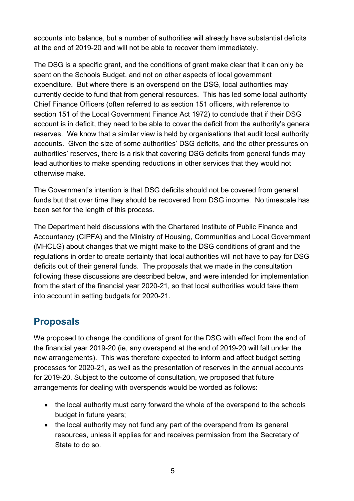accounts into balance, but a number of authorities will already have substantial deficits at the end of 2019-20 and will not be able to recover them immediately.

The DSG is a specific grant, and the conditions of grant make clear that it can only be spent on the Schools Budget, and not on other aspects of local government expenditure. But where there is an overspend on the DSG, local authorities may currently decide to fund that from general resources. This has led some local authority Chief Finance Officers (often referred to as section 151 officers, with reference to section 151 of the Local Government Finance Act 1972) to conclude that if their DSG account is in deficit, they need to be able to cover the deficit from the authority's general reserves. We know that a similar view is held by organisations that audit local authority accounts. Given the size of some authorities' DSG deficits, and the other pressures on authorities' reserves, there is a risk that covering DSG deficits from general funds may lead authorities to make spending reductions in other services that they would not otherwise make.

The Government's intention is that DSG deficits should not be covered from general funds but that over time they should be recovered from DSG income. No timescale has been set for the length of this process.

The Department held discussions with the Chartered Institute of Public Finance and Accountancy (CIPFA) and the Ministry of Housing, Communities and Local Government (MHCLG) about changes that we might make to the DSG conditions of grant and the regulations in order to create certainty that local authorities will not have to pay for DSG deficits out of their general funds. The proposals that we made in the consultation following these discussions are described below, and were intended for implementation from the start of the financial year 2020-21, so that local authorities would take them into account in setting budgets for 2020-21.

### <span id="page-4-0"></span>**Proposals**

We proposed to change the conditions of grant for the DSG with effect from the end of the financial year 2019-20 (ie, any overspend at the end of 2019-20 will fall under the new arrangements). This was therefore expected to inform and affect budget setting processes for 2020-21, as well as the presentation of reserves in the annual accounts for 2019-20. Subject to the outcome of consultation, we proposed that future arrangements for dealing with overspends would be worded as follows:

- the local authority must carry forward the whole of the overspend to the schools budget in future years;
- the local authority may not fund any part of the overspend from its general resources, unless it applies for and receives permission from the Secretary of State to do so.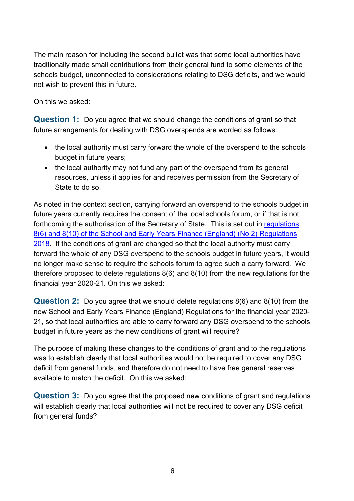The main reason for including the second bullet was that some local authorities have traditionally made small contributions from their general fund to some elements of the schools budget, unconnected to considerations relating to DSG deficits, and we would not wish to prevent this in future.

On this we asked:

**Question 1:** Do you agree that we should change the conditions of grant so that future arrangements for dealing with DSG overspends are worded as follows:

- the local authority must carry forward the whole of the overspend to the schools budget in future years;
- the local authority may not fund any part of the overspend from its general resources, unless it applies for and receives permission from the Secretary of State to do so.

As noted in the context section, carrying forward an overspend to the schools budget in future years currently requires the consent of the local schools forum, or if that is not forthcoming the authorisation of the Secretary of State. This is set out in [regulations](http://www.legislation.gov.uk/uksi/2018/1185/regulation/8/made)  [8\(6\) and 8\(10\) of the School and Early Years Finance \(England\) \(No 2\) Regulations](http://www.legislation.gov.uk/uksi/2018/1185/regulation/8/made)  [2018.](http://www.legislation.gov.uk/uksi/2018/1185/regulation/8/made) If the conditions of grant are changed so that the local authority must carry forward the whole of any DSG overspend to the schools budget in future years, it would no longer make sense to require the schools forum to agree such a carry forward. We therefore proposed to delete regulations 8(6) and 8(10) from the new regulations for the financial year 2020-21. On this we asked:

**Question 2:** Do you agree that we should delete regulations 8(6) and 8(10) from the new School and Early Years Finance (England) Regulations for the financial year 2020- 21, so that local authorities are able to carry forward any DSG overspend to the schools budget in future years as the new conditions of grant will require?

The purpose of making these changes to the conditions of grant and to the regulations was to establish clearly that local authorities would not be required to cover any DSG deficit from general funds, and therefore do not need to have free general reserves available to match the deficit. On this we asked:

**Question 3:** Do you agree that the proposed new conditions of grant and regulations will establish clearly that local authorities will not be required to cover any DSG deficit from general funds?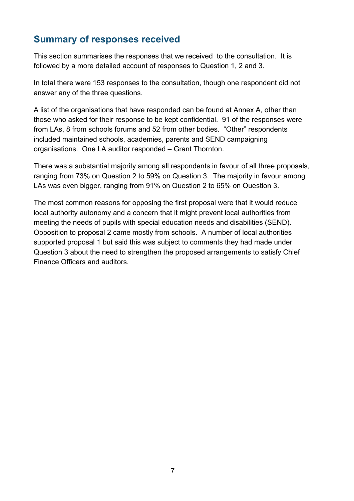### <span id="page-6-0"></span>**Summary of responses received**

This section summarises the responses that we received to the consultation. It is followed by a more detailed account of responses to Question 1, 2 and 3.

In total there were 153 responses to the consultation, though one respondent did not answer any of the three questions.

A list of the organisations that have responded can be found at Annex A, other than those who asked for their response to be kept confidential. 91 of the responses were from LAs, 8 from schools forums and 52 from other bodies. "Other" respondents included maintained schools, academies, parents and SEND campaigning organisations. One LA auditor responded – Grant Thornton.

There was a substantial majority among all respondents in favour of all three proposals, ranging from 73% on Question 2 to 59% on Question 3. The majority in favour among LAs was even bigger, ranging from 91% on Question 2 to 65% on Question 3.

The most common reasons for opposing the first proposal were that it would reduce local authority autonomy and a concern that it might prevent local authorities from meeting the needs of pupils with special education needs and disabilities (SEND). Opposition to proposal 2 came mostly from schools. A number of local authorities supported proposal 1 but said this was subject to comments they had made under Question 3 about the need to strengthen the proposed arrangements to satisfy Chief Finance Officers and auditors.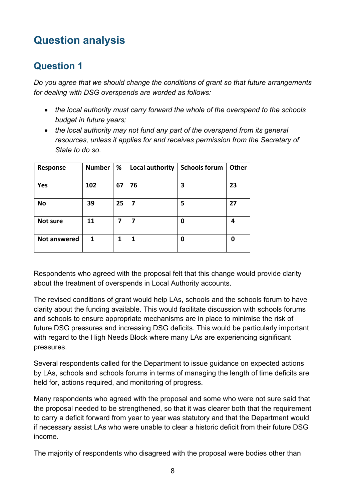# <span id="page-7-0"></span>**Question analysis**

### <span id="page-7-1"></span>**Question 1**

*Do you agree that we should change the conditions of grant so that future arrangements for dealing with DSG overspends are worded as follows:*

- *the local authority must carry forward the whole of the overspend to the schools budget in future years;*
- *the local authority may not fund any part of the overspend from its general resources, unless it applies for and receives permission from the Secretary of State to do so.*

| Response            | <b>Number</b> | %  | Local authority | <b>Schools forum</b> | Other |
|---------------------|---------------|----|-----------------|----------------------|-------|
| Yes                 | 102           | 67 | 76              | 3                    | 23    |
| <b>No</b>           | 39            | 25 | $\overline{7}$  | 5                    | 27    |
| Not sure            | 11            | 7  | 7               | 0                    | 4     |
| <b>Not answered</b> | 1             | 1  | 1               | 0                    | 0     |

Respondents who agreed with the proposal felt that this change would provide clarity about the treatment of overspends in Local Authority accounts.

The revised conditions of grant would help LAs, schools and the schools forum to have clarity about the funding available. This would facilitate discussion with schools forums and schools to ensure appropriate mechanisms are in place to minimise the risk of future DSG pressures and increasing DSG deficits. This would be particularly important with regard to the High Needs Block where many LAs are experiencing significant pressures.

Several respondents called for the Department to issue guidance on expected actions by LAs, schools and schools forums in terms of managing the length of time deficits are held for, actions required, and monitoring of progress.

Many respondents who agreed with the proposal and some who were not sure said that the proposal needed to be strengthened, so that it was clearer both that the requirement to carry a deficit forward from year to year was statutory and that the Department would if necessary assist LAs who were unable to clear a historic deficit from their future DSG income.

The majority of respondents who disagreed with the proposal were bodies other than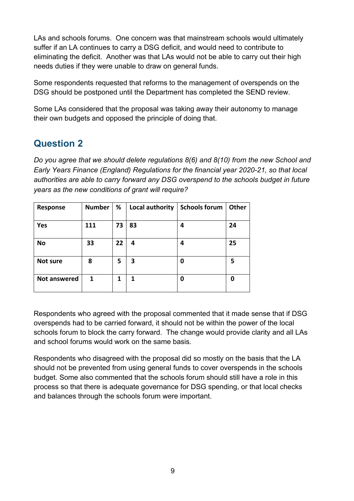LAs and schools forums. One concern was that mainstream schools would ultimately suffer if an LA continues to carry a DSG deficit, and would need to contribute to eliminating the deficit. Another was that LAs would not be able to carry out their high needs duties if they were unable to draw on general funds.

Some respondents requested that reforms to the management of overspends on the DSG should be postponed until the Department has completed the SEND review.

Some LAs considered that the proposal was taking away their autonomy to manage their own budgets and opposed the principle of doing that.

### <span id="page-8-0"></span>**Question 2**

*Do you agree that we should delete regulations 8(6) and 8(10) from the new School and Early Years Finance (England) Regulations for the financial year 2020-21, so that local authorities are able to carry forward any DSG overspend to the schools budget in future years as the new conditions of grant will require?*

| <b>Response</b>     | <b>Number</b> | %  | Local authority | <b>Schools forum</b> | Other |
|---------------------|---------------|----|-----------------|----------------------|-------|
| Yes                 | 111           | 73 | 83              | 4                    | 24    |
| <b>No</b>           | 33            | 22 | 4               | 4                    | 25    |
| <b>Not sure</b>     | 8             | 5  | 3               | O                    | 5     |
| <b>Not answered</b> | 1             | 1  |                 | 0                    | 0     |

Respondents who agreed with the proposal commented that it made sense that if DSG overspends had to be carried forward, it should not be within the power of the local schools forum to block the carry forward. The change would provide clarity and all LAs and school forums would work on the same basis.

Respondents who disagreed with the proposal did so mostly on the basis that the LA should not be prevented from using general funds to cover overspends in the schools budget. Some also commented that the schools forum should still have a role in this process so that there is adequate governance for DSG spending, or that local checks and balances through the schools forum were important.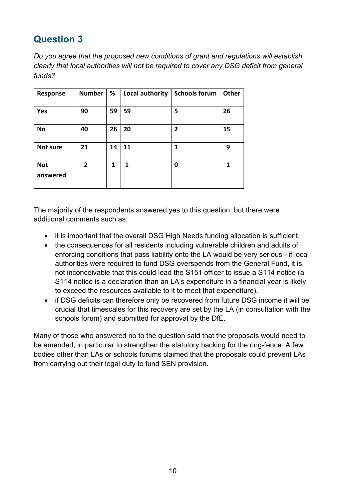### <span id="page-9-0"></span>**Question 3**

*Do you agree that the proposed new conditions of grant and regulations will establish clearly that local authorities will not be required to cover any DSG deficit from general funds?*

| Response        | <b>Number</b> | %  | Local authority | <b>Schools forum</b> | <b>Other</b> |
|-----------------|---------------|----|-----------------|----------------------|--------------|
|                 |               |    |                 |                      |              |
| Yes             | 90            | 59 | 59              | 5                    | 26           |
|                 |               |    |                 |                      |              |
| <b>No</b>       | 40            | 26 | 20              | $\mathbf{2}$         | 15           |
|                 |               |    |                 |                      |              |
| <b>Not sure</b> | 21            | 14 | 11              | 1                    | 9            |
|                 |               |    |                 |                      |              |
| <b>Not</b>      | 2             | 1  | 1               | 0                    | 1            |
| answered        |               |    |                 |                      |              |
|                 |               |    |                 |                      |              |

The majority of the respondents answered yes to this question, but there were additional comments such as:

- it is important that the overall DSG High Needs funding allocation is sufficient.
- the consequences for all residents including vulnerable children and adults of enforcing conditions that pass liability onto the LA would be very serious - if local authorities were required to fund DSG overspends from the General Fund, it is not inconceivable that this could lead the S151 officer to issue a S114 notice (a S114 notice is a declaration than an LA's expenditure in a financial year is likely to exceed the resources available to it to meet that expenditure).
- if DSG deficits can therefore only be recovered from future DSG income it will be crucial that timescales for this recovery are set by the LA (in consultation with the schools forum) and submitted for approval by the DfE.

Many of those who answered no to the question said that the proposals would need to be amended, in particular to strengthen the statutory backing for the ring-fence. A few bodies other than LAs or schools forums claimed that the proposals could prevent LAs from carrying out their legal duty to fund SEN provision.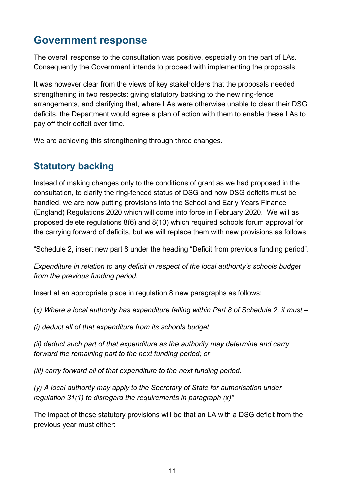### <span id="page-10-0"></span>**Government response**

The overall response to the consultation was positive, especially on the part of LAs. Consequently the Government intends to proceed with implementing the proposals.

It was however clear from the views of key stakeholders that the proposals needed strengthening in two respects: giving statutory backing to the new ring-fence arrangements, and clarifying that, where LAs were otherwise unable to clear their DSG deficits, the Department would agree a plan of action with them to enable these LAs to pay off their deficit over time.

We are achieving this strengthening through three changes.

### <span id="page-10-1"></span>**Statutory backing**

Instead of making changes only to the conditions of grant as we had proposed in the consultation, to clarify the ring-fenced status of DSG and how DSG deficits must be handled, we are now putting provisions into the School and Early Years Finance (England) Regulations 2020 which will come into force in February 2020. We will as proposed delete regulations 8(6) and 8(10) which required schools forum approval for the carrying forward of deficits, but we will replace them with new provisions as follows:

"Schedule 2, insert new part 8 under the heading "Deficit from previous funding period".

*Expenditure in relation to any deficit in respect of the local authority's schools budget from the previous funding period.*

Insert at an appropriate place in regulation 8 new paragraphs as follows:

(*x) Where a local authority has expenditure falling within Part 8 of Schedule 2, it must –* 

*(i) deduct all of that expenditure from its schools budget*

*(ii) deduct such part of that expenditure as the authority may determine and carry forward the remaining part to the next funding period; or*

*(iii) carry forward all of that expenditure to the next funding period.*

*(y) A local authority may apply to the Secretary of State for authorisation under regulation 31(1) to disregard the requirements in paragraph (x)"*

The impact of these statutory provisions will be that an LA with a DSG deficit from the previous year must either: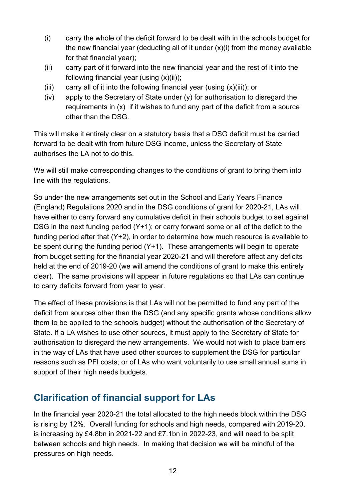- (i) carry the whole of the deficit forward to be dealt with in the schools budget for the new financial year (deducting all of it under  $(x)(i)$  from the money available for that financial year);
- (ii) carry part of it forward into the new financial year and the rest of it into the following financial year (using (x)(ii));
- (iii) carry all of it into the following financial year (using  $(x)(iii)$ ); or
- (iv) apply to the Secretary of State under (y) for authorisation to disregard the requirements in (x) if it wishes to fund any part of the deficit from a source other than the DSG.

This will make it entirely clear on a statutory basis that a DSG deficit must be carried forward to be dealt with from future DSG income, unless the Secretary of State authorises the LA not to do this.

We will still make corresponding changes to the conditions of grant to bring them into line with the regulations.

So under the new arrangements set out in the School and Early Years Finance (England) Regulations 2020 and in the DSG conditions of grant for 2020-21, LAs will have either to carry forward any cumulative deficit in their schools budget to set against DSG in the next funding period (Y+1); or carry forward some or all of the deficit to the funding period after that (Y+2), in order to determine how much resource is available to be spent during the funding period (Y+1). These arrangements will begin to operate from budget setting for the financial year 2020-21 and will therefore affect any deficits held at the end of 2019-20 (we will amend the conditions of grant to make this entirely clear). The same provisions will appear in future regulations so that LAs can continue to carry deficits forward from year to year.

The effect of these provisions is that LAs will not be permitted to fund any part of the deficit from sources other than the DSG (and any specific grants whose conditions allow them to be applied to the schools budget) without the authorisation of the Secretary of State. If a LA wishes to use other sources, it must apply to the Secretary of State for authorisation to disregard the new arrangements. We would not wish to place barriers in the way of LAs that have used other sources to supplement the DSG for particular reasons such as PFI costs; or of LAs who want voluntarily to use small annual sums in support of their high needs budgets.

### <span id="page-11-0"></span>**Clarification of financial support for LAs**

In the financial year 2020-21 the total allocated to the high needs block within the DSG is rising by 12%. Overall funding for schools and high needs, compared with 2019-20, is increasing by £4.8bn in 2021-22 and £7.1bn in 2022-23, and will need to be split between schools and high needs. In making that decision we will be mindful of the pressures on high needs.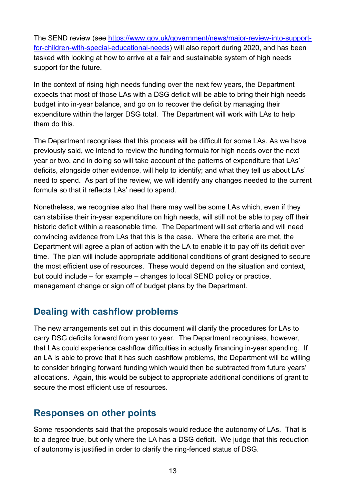The SEND review (see [https://www.gov.uk/government/news/major-review-into-support](https://www.gov.uk/government/news/major-review-into-support-for-children-with-special-educational-needs)[for-children-with-special-educational-needs\)](https://www.gov.uk/government/news/major-review-into-support-for-children-with-special-educational-needs) will also report during 2020, and has been tasked with looking at how to arrive at a fair and sustainable system of high needs support for the future.

In the context of rising high needs funding over the next few years, the Department expects that most of those LAs with a DSG deficit will be able to bring their high needs budget into in-year balance, and go on to recover the deficit by managing their expenditure within the larger DSG total. The Department will work with LAs to help them do this.

The Department recognises that this process will be difficult for some LAs. As we have previously said, we intend to review the funding formula for high needs over the next year or two, and in doing so will take account of the patterns of expenditure that LAs' deficits, alongside other evidence, will help to identify; and what they tell us about LAs' need to spend. As part of the review, we will identify any changes needed to the current formula so that it reflects LAs' need to spend.

Nonetheless, we recognise also that there may well be some LAs which, even if they can stabilise their in-year expenditure on high needs, will still not be able to pay off their historic deficit within a reasonable time. The Department will set criteria and will need convincing evidence from LAs that this is the case. Where the criteria are met, the Department will agree a plan of action with the LA to enable it to pay off its deficit over time. The plan will include appropriate additional conditions of grant designed to secure the most efficient use of resources. These would depend on the situation and context, but could include – for example – changes to local SEND policy or practice, management change or sign off of budget plans by the Department.

### <span id="page-12-0"></span>**Dealing with cashflow problems**

The new arrangements set out in this document will clarify the procedures for LAs to carry DSG deficits forward from year to year. The Department recognises, however, that LAs could experience cashflow difficulties in actually financing in-year spending. If an LA is able to prove that it has such cashflow problems, the Department will be willing to consider bringing forward funding which would then be subtracted from future years' allocations. Again, this would be subject to appropriate additional conditions of grant to secure the most efficient use of resources.

#### <span id="page-12-1"></span>**Responses on other points**

Some respondents said that the proposals would reduce the autonomy of LAs. That is to a degree true, but only where the LA has a DSG deficit. We judge that this reduction of autonomy is justified in order to clarify the ring-fenced status of DSG.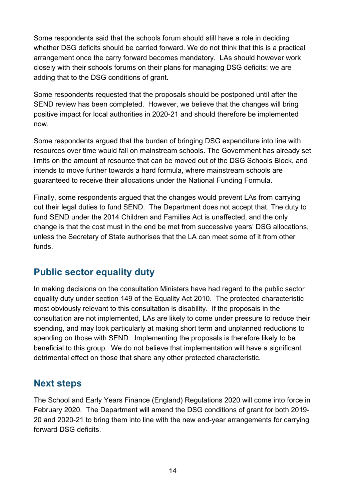Some respondents said that the schools forum should still have a role in deciding whether DSG deficits should be carried forward. We do not think that this is a practical arrangement once the carry forward becomes mandatory. LAs should however work closely with their schools forums on their plans for managing DSG deficits: we are adding that to the DSG conditions of grant.

Some respondents requested that the proposals should be postponed until after the SEND review has been completed. However, we believe that the changes will bring positive impact for local authorities in 2020-21 and should therefore be implemented now.

Some respondents argued that the burden of bringing DSG expenditure into line with resources over time would fall on mainstream schools. The Government has already set limits on the amount of resource that can be moved out of the DSG Schools Block, and intends to move further towards a hard formula, where mainstream schools are guaranteed to receive their allocations under the National Funding Formula.

Finally, some respondents argued that the changes would prevent LAs from carrying out their legal duties to fund SEND. The Department does not accept that. The duty to fund SEND under the 2014 Children and Families Act is unaffected, and the only change is that the cost must in the end be met from successive years' DSG allocations, unless the Secretary of State authorises that the LA can meet some of it from other funds.

### <span id="page-13-0"></span>**Public sector equality duty**

In making decisions on the consultation Ministers have had regard to the public sector equality duty under section 149 of the Equality Act 2010. The protected characteristic most obviously relevant to this consultation is disability. If the proposals in the consultation are not implemented, LAs are likely to come under pressure to reduce their spending, and may look particularly at making short term and unplanned reductions to spending on those with SEND. Implementing the proposals is therefore likely to be beneficial to this group. We do not believe that implementation will have a significant detrimental effect on those that share any other protected characteristic.

### <span id="page-13-1"></span>**Next steps**

The School and Early Years Finance (England) Regulations 2020 will come into force in February 2020. The Department will amend the DSG conditions of grant for both 2019- 20 and 2020-21 to bring them into line with the new end-year arrangements for carrying forward DSG deficits.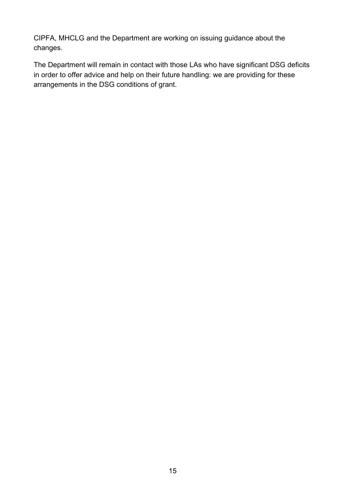CIPFA, MHCLG and the Department are working on issuing guidance about the changes.

The Department will remain in contact with those LAs who have significant DSG deficits in order to offer advice and help on their future handling: we are providing for these arrangements in the DSG conditions of grant.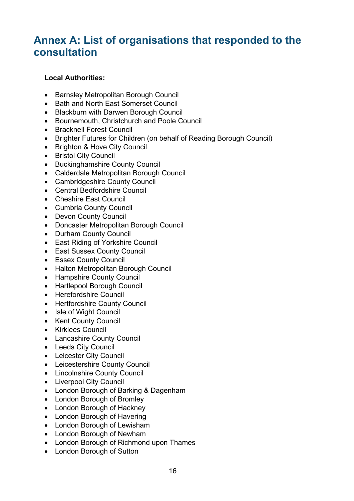### <span id="page-15-0"></span>**Annex A: List of organisations that responded to the consultation**

#### **Local Authorities:**

- Barnsley Metropolitan Borough Council
- Bath and North East Somerset Council
- Blackburn with Darwen Borough Council
- Bournemouth, Christchurch and Poole Council
- Bracknell Forest Council
- Brighter Futures for Children (on behalf of Reading Borough Council)
- Brighton & Hove City Council
- Bristol City Council
- Buckinghamshire County Council
- Calderdale Metropolitan Borough Council
- Cambridgeshire County Council
- Central Bedfordshire Council
- Cheshire East Council
- Cumbria County Council
- Devon County Council
- Doncaster Metropolitan Borough Council
- Durham County Council
- East Riding of Yorkshire Council
- East Sussex County Council
- Essex County Council
- Halton Metropolitan Borough Council
- Hampshire County Council
- Hartlepool Borough Council
- Herefordshire Council
- Hertfordshire County Council
- Isle of Wight Council
- Kent County Council
- Kirklees Council
- Lancashire County Council
- Leeds City Council
- Leicester City Council
- Leicestershire County Council
- Lincolnshire County Council
- Liverpool City Council
- London Borough of Barking & Dagenham
- London Borough of Bromley
- London Borough of Hackney
- London Borough of Havering
- London Borough of Lewisham
- London Borough of Newham
- London Borough of Richmond upon Thames
- London Borough of Sutton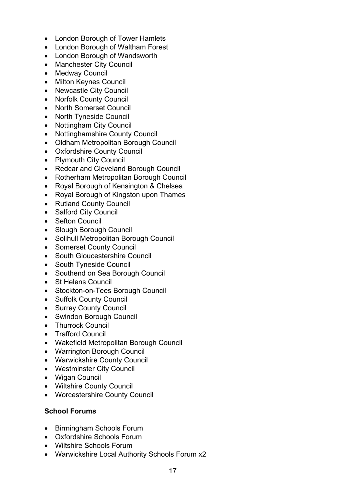- London Borough of Tower Hamlets
- London Borough of Waltham Forest
- London Borough of Wandsworth
- Manchester City Council
- Medway Council
- Milton Keynes Council
- Newcastle City Council
- Norfolk County Council
- North Somerset Council
- North Tyneside Council
- Nottingham City Council
- Nottinghamshire County Council
- Oldham Metropolitan Borough Council
- Oxfordshire County Council
- Plymouth City Council
- Redcar and Cleveland Borough Council
- Rotherham Metropolitan Borough Council
- Royal Borough of Kensington & Chelsea
- Royal Borough of Kingston upon Thames
- Rutland County Council
- Salford City Council
- Sefton Council
- Slough Borough Council
- Solihull Metropolitan Borough Council
- Somerset County Council
- South Gloucestershire Council
- South Tyneside Council
- Southend on Sea Borough Council
- St Helens Council
- Stockton-on-Tees Borough Council
- Suffolk County Council
- Surrey County Council
- Swindon Borough Council
- Thurrock Council
- Trafford Council
- Wakefield Metropolitan Borough Council
- Warrington Borough Council
- Warwickshire County Council
- Westminster City Council
- Wigan Council
- Wiltshire County Council
- Worcestershire County Council

#### **School Forums**

- Birmingham Schools Forum
- Oxfordshire Schools Forum
- Wiltshire Schools Forum
- Warwickshire Local Authority Schools Forum x2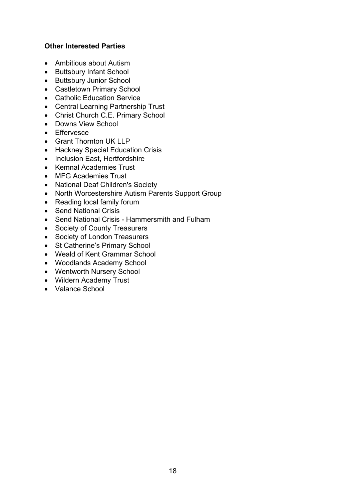#### **Other Interested Parties**

- Ambitious about Autism
- Buttsbury Infant School
- Buttsbury Junior School
- Castletown Primary School
- Catholic Education Service
- Central Learning Partnership Trust
- Christ Church C.E. Primary School
- Downs View School
- Effervesce
- Grant Thornton UK LLP
- Hackney Special Education Crisis
- Inclusion East, Hertfordshire
- Kemnal Academies Trust
- MFG Academies Trust
- National Deaf Children's Society
- North Worcestershire Autism Parents Support Group
- Reading local family forum
- Send National Crisis
- Send National Crisis Hammersmith and Fulham
- Society of County Treasurers
- Society of London Treasurers
- St Catherine's Primary School
- Weald of Kent Grammar School
- Woodlands Academy School
- Wentworth Nursery School
- Wildern Academy Trust
- Valance School